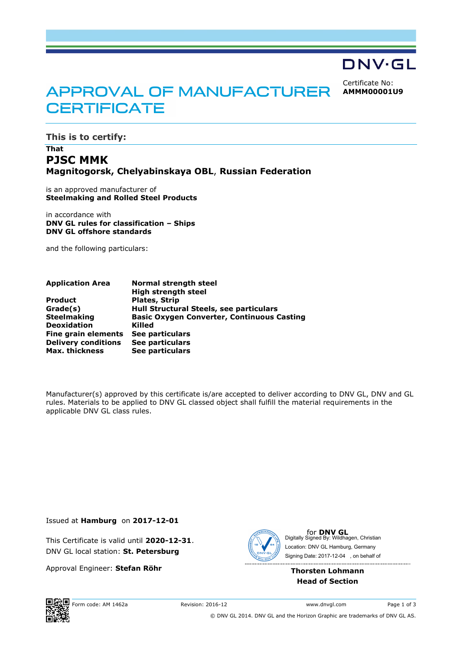# DNV·GL

Certificate No: **AMMM00001U9**

# APPROVAL OF MANUFACTURER **CERTIFICATE**

**This is to certify:**

## **That PJSC MMK Magnitogorsk, Chelyabinskaya OBL**, **Russian Federation**

is an approved manufacturer of **Steelmaking and Rolled Steel Products**

in accordance with **DNV GL rules for classification – Ships DNV GL offshore standards**

and the following particulars:

| <b>Application Area</b>    | <b>Normal strength steel</b>                      |
|----------------------------|---------------------------------------------------|
|                            | <b>High strength steel</b>                        |
| <b>Product</b>             | <b>Plates, Strip</b>                              |
| Grade(s)                   | Hull Structural Steels, see particulars           |
| <b>Steelmaking</b>         | <b>Basic Oxygen Converter, Continuous Casting</b> |
| <b>Deoxidation</b>         | Killed                                            |
| Fine grain elements        | See particulars                                   |
| <b>Delivery conditions</b> | See particulars                                   |
| <b>Max. thickness</b>      | See particulars                                   |

Manufacturer(s) approved by this certificate is/are accepted to deliver according to DNV GL, DNV and GL rules. Materials to be applied to DNV GL classed object shall fulfill the material requirements in the applicable DNV GL class rules.

Issued at **Hamburg** on **2017-12-01**

This Certificate is valid until **2020-12-31**. DNV GL local station: **St. Petersburg**

Approval Engineer: **Stefan Röhr**



for **DNV GL**<br>Digitally Signed By: Wildhagen, Christian Signing Date: 2017-12-04 , on behalf ofLocation: DNV GL Hamburg, Germany

### **Thorsten Lohmann Head of Section**



© DNV GL 2014. DNV GL and the Horizon Graphic are trademarks of DNV GL AS.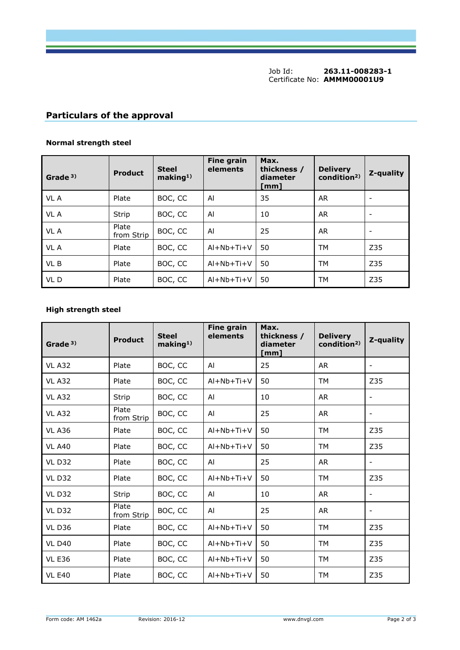Job Id: **263.11-008283-1** Certificate No: **AMMM00001U9**

# **Particulars of the approval**

## **Normal strength steel**

| Grade <sup>3)</sup> | <b>Product</b>      | <b>Steel</b><br>making <sup>1</sup> | <b>Fine grain</b><br>elements | Max.<br>thickness /<br>diameter<br>[mm] | <b>Delivery</b><br>condition <sup>2)</sup> | Z-quality                |
|---------------------|---------------------|-------------------------------------|-------------------------------|-----------------------------------------|--------------------------------------------|--------------------------|
| VL A                | Plate               | BOC, CC                             | Al                            | 35                                      | <b>AR</b>                                  |                          |
| VL A                | Strip               | BOC, CC                             | Al                            | 10                                      | AR.                                        | $\overline{\phantom{a}}$ |
| VL A                | Plate<br>from Strip | BOC, CC                             | Al                            | 25                                      | <b>AR</b>                                  |                          |
| VL A                | Plate               | BOC, CC                             | $Al+Nb+Ti+V$                  | 50                                      | <b>TM</b>                                  | Z35                      |
| VL B                | Plate               | BOC, CC                             | $Al+Nb+Ti+V$                  | 50                                      | <b>TM</b>                                  | Z35                      |
| VL D                | Plate               | BOC, CC                             | $AI + Nb + Ti + V$            | 50                                      | TM                                         | Z35                      |

## **High strength steel**

| Grade <sup>3)</sup> | <b>Product</b>      | <b>Steel</b><br>making <sup>1</sup> | <b>Fine grain</b><br>elements | Max.<br>thickness /<br>diameter<br>[mm] | <b>Delivery</b><br>condition <sup>2</sup> | Z-quality                |
|---------------------|---------------------|-------------------------------------|-------------------------------|-----------------------------------------|-------------------------------------------|--------------------------|
| <b>VL A32</b>       | Plate               | BOC, CC                             | AI                            | 25                                      | <b>AR</b>                                 | $\overline{\phantom{a}}$ |
| <b>VL A32</b>       | Plate               | BOC, CC                             | $Al+Nb+Ti+V$                  | 50                                      | <b>TM</b>                                 | Z35                      |
| <b>VL A32</b>       | Strip               | BOC, CC                             | Al                            | 10                                      | <b>AR</b>                                 | $\overline{\phantom{a}}$ |
| <b>VL A32</b>       | Plate<br>from Strip | BOC, CC                             | Al                            | 25                                      | <b>AR</b>                                 | $\overline{\phantom{a}}$ |
| <b>VL A36</b>       | Plate               | BOC, CC                             | $Al+Nb+Ti+V$                  | 50                                      | <b>TM</b>                                 | Z35                      |
| <b>VL A40</b>       | Plate               | BOC, CC                             | $Al+Nb+Ti+V$                  | 50                                      | <b>TM</b>                                 | Z35                      |
| <b>VL D32</b>       | Plate               | BOC, CC                             | AI                            | 25                                      | <b>AR</b>                                 | $\overline{\phantom{a}}$ |
| <b>VL D32</b>       | Plate               | BOC, CC                             | $Al+Nb+Ti+V$                  | 50                                      | <b>TM</b>                                 | Z35                      |
| <b>VL D32</b>       | Strip               | BOC, CC                             | Al                            | 10                                      | <b>AR</b>                                 |                          |
| <b>VL D32</b>       | Plate<br>from Strip | BOC, CC                             | Al                            | 25                                      | <b>AR</b>                                 | $\overline{\phantom{a}}$ |
| <b>VL D36</b>       | Plate               | BOC, CC                             | $Al+Nb+Ti+V$                  | 50                                      | <b>TM</b>                                 | Z35                      |
| <b>VL D40</b>       | Plate               | BOC, CC                             | $Al+Nb+Ti+V$                  | 50                                      | <b>TM</b>                                 | Z35                      |
| <b>VL E36</b>       | Plate               | BOC, CC                             | $Al+Nb+Ti+V$                  | 50                                      | <b>TM</b>                                 | Z35                      |
| <b>VL E40</b>       | Plate               | BOC, CC                             | $Al+Nb+Ti+V$                  | 50                                      | <b>TM</b>                                 | Z35                      |